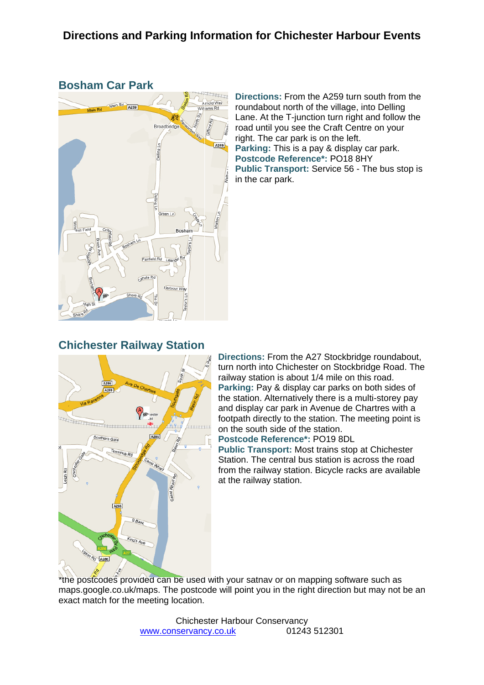### **Bosham Car Park**



**Directions:** From the A259 turn south from the roundabout north of the village, into Delling Lane. At the T-junction turn right and follow the road until you see the Craft Centre on your right. The car park is on the left. **Parking:** This is a pay & display car park. **Postcode Reference\*:** PO18 8HY **Public Transport:** Service 56 - The bus stop is in the car park.

### **Chichester Railway Station**



**Directions:** From the A27 Stockbridge roundabout, turn north into Chichester on Stockbridge Road. The railway station is about 1/4 mile on this road. **Parking:** Pay & display car parks on both sides of the station. Alternatively there is a multi-storey pay and display car park in Avenue de Chartres with a footpath directly to the station. The meeting point is on the south side of the station.

**Postcode Reference\*:** PO19 8DL

**Public Transport:** Most trains stop at Chichester Station. The central bus station is across the road from the railway station. Bicycle racks are available at the railway station.

\*the postcodes provided can be used with your satnay or on mapping software such as maps.google.co.uk/maps. The postcode will point you in the right direction but may not be an exact match for the meeting location.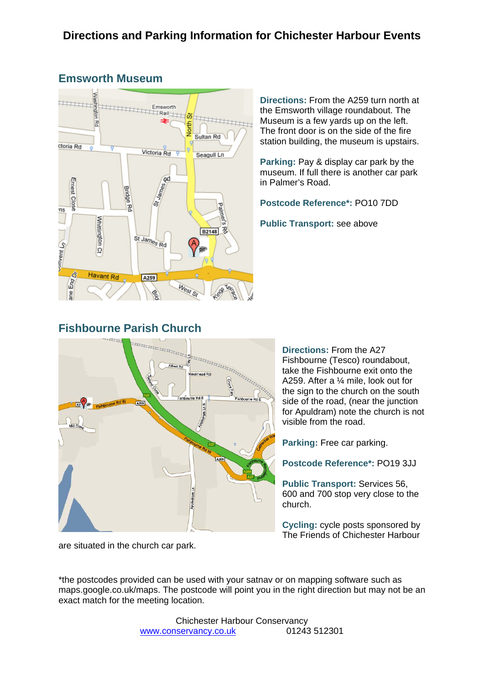

## **Emsworth Museum**

**Directions:** From the A259 turn north at the Emsworth village roundabout. The Museum is a few yards up on the left. The front door is on the side of the fire station building, the museum is upstairs.

**Parking:** Pay & display car park by the museum. If full there is another car park in Palmer's Road.

**Postcode Reference\*:** PO10 7DD

**Public Transport:** see above

## **Fishbourne Parish Church**



**Directions:** From the A27 Fishbourne (Tesco) roundabout, take the Fishbourne exit onto the A259. After a ¼ mile, look out for the sign to the church on the south side of the road, (near the junction for Apuldram) note the church is not visible from the road.

**Parking:** Free car parking.

**Postcode Reference\*:** PO19 3JJ

**Public Transport:** Services 56, 600 and 700 stop very close to the church.

**Cycling:** cycle posts sponsored by The Friends of Chichester Harbour

are situated in the church car park.

\*the postcodes provided can be used with your satnav or on mapping software such as maps.google.co.uk/maps. The postcode will point you in the right direction but may not be an exact match for the meeting location.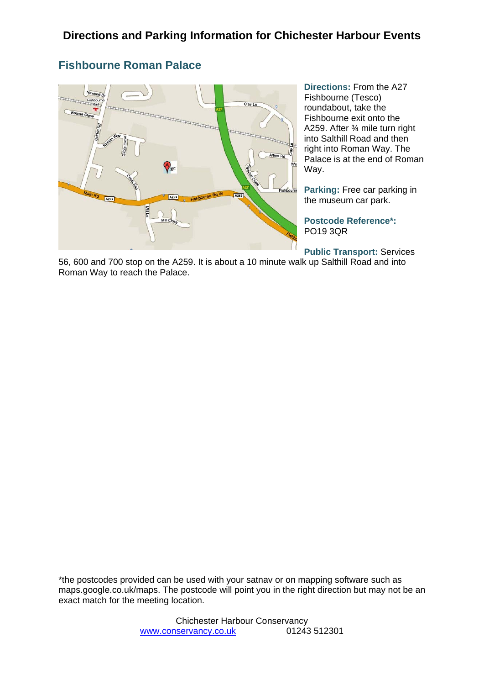## **Fishbourne Roman Palace**



**Directions:** From the A27 Fishbourne (Tesco) roundabout, take the Fishbourne exit onto the A259. After ¾ mile turn right into Salthill Road and then right into Roman Way. The Palace is at the end of Roman Way.

**Parking:** Free car parking in the museum car park.

**Postcode Reference\*:** PO19 3QR

**Public Transport:** Services

56, 600 and 700 stop on the A259. It is about a 10 minute walk up Salthill Road and into Roman Way to reach the Palace.

\*the postcodes provided can be used with your satnav or on mapping software such as maps.google.co.uk/maps. The postcode will point you in the right direction but may not be an exact match for the meeting location.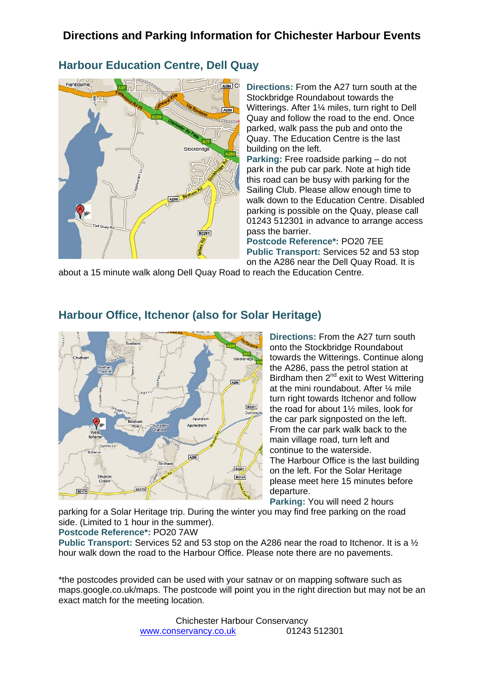## **Directions and Parking Information for Chichester Harbour Events**

### **Harbour Education Centre, Dell Quay**



**Directions:** From the A27 turn south at the Stockbridge Roundabout towards the Witterings. After 1¼ miles, turn right to Dell Quay and follow the road to the end. Once parked, walk pass the pub and onto the Quay. The Education Centre is the last building on the left.

**Parking:** Free roadside parking – do not park in the pub car park. Note at high tide this road can be busy with parking for the Sailing Club. Please allow enough time to walk down to the Education Centre. Disabled parking is possible on the Quay, please call 01243 512301 in advance to arrange access pass the barrier.

**Postcode Reference\*:** PO20 7EE **Public Transport:** Services 52 and 53 stop on the A286 near the Dell Quay Road. It is

about a 15 minute walk along Dell Quay Road to reach the Education Centre.



#### **Harbour Office, Itchenor (also for Solar Heritage)**

**Directions:** From the A27 turn south onto the Stockbridge Roundabout towards the Witterings. Continue along the A286, pass the petrol station at Birdham then  $2<sup>nd</sup>$  exit to West Wittering at the mini roundabout. After ¼ mile turn right towards Itchenor and follow the road for about 1½ miles, look for the car park signposted on the left. From the car park walk back to the main village road, turn left and continue to the waterside. The Harbour Office is the last building on the left. For the Solar Heritage please meet here 15 minutes before departure.

**Parking:** You will need 2 hours

parking for a Solar Heritage trip. During the winter you may find free parking on the road side. (Limited to 1 hour in the summer).

**Postcode Reference\*:** PO20 7AW

**Public Transport:** Services 52 and 53 stop on the A286 near the road to Itchenor. It is a ½ hour walk down the road to the Harbour Office. Please note there are no pavements.

\*the postcodes provided can be used with your satnav or on mapping software such as maps.google.co.uk/maps. The postcode will point you in the right direction but may not be an exact match for the meeting location.